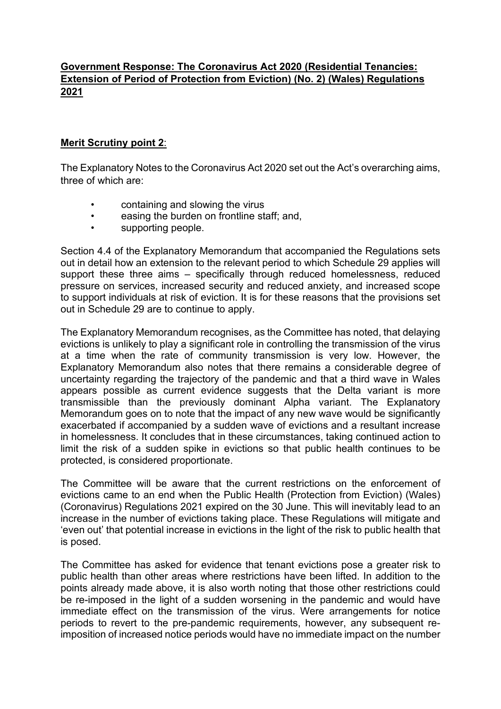## **Government Response: The Coronavirus Act 2020 (Residential Tenancies: Extension of Period of Protection from Eviction) (No. 2) (Wales) Regulations 2021**

## **Merit Scrutiny point 2**:

The Explanatory Notes to the Coronavirus Act 2020 set out the Act's overarching aims, three of which are:

- containing and slowing the virus
- easing the burden on frontline staff; and,
- supporting people.

Section 4.4 of the Explanatory Memorandum that accompanied the Regulations sets out in detail how an extension to the relevant period to which Schedule 29 applies will support these three aims – specifically through reduced homelessness, reduced pressure on services, increased security and reduced anxiety, and increased scope to support individuals at risk of eviction. It is for these reasons that the provisions set out in Schedule 29 are to continue to apply.

The Explanatory Memorandum recognises, as the Committee has noted, that delaying evictions is unlikely to play a significant role in controlling the transmission of the virus at a time when the rate of community transmission is very low. However, the Explanatory Memorandum also notes that there remains a considerable degree of uncertainty regarding the trajectory of the pandemic and that a third wave in Wales appears possible as current evidence suggests that the Delta variant is more transmissible than the previously dominant Alpha variant. The Explanatory Memorandum goes on to note that the impact of any new wave would be significantly exacerbated if accompanied by a sudden wave of evictions and a resultant increase in homelessness. It concludes that in these circumstances, taking continued action to limit the risk of a sudden spike in evictions so that public health continues to be protected, is considered proportionate.

The Committee will be aware that the current restrictions on the enforcement of evictions came to an end when the Public Health (Protection from Eviction) (Wales) (Coronavirus) Regulations 2021 expired on the 30 June. This will inevitably lead to an increase in the number of evictions taking place. These Regulations will mitigate and 'even out' that potential increase in evictions in the light of the risk to public health that is posed.

The Committee has asked for evidence that tenant evictions pose a greater risk to public health than other areas where restrictions have been lifted. In addition to the points already made above, it is also worth noting that those other restrictions could be re-imposed in the light of a sudden worsening in the pandemic and would have immediate effect on the transmission of the virus. Were arrangements for notice periods to revert to the pre-pandemic requirements, however, any subsequent reimposition of increased notice periods would have no immediate impact on the number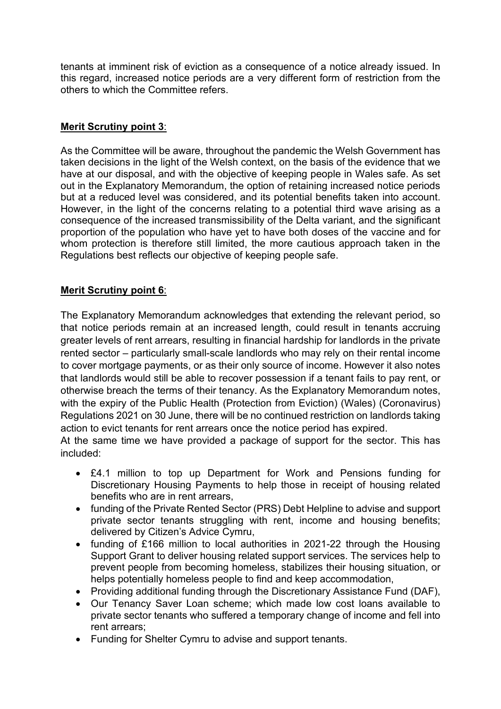tenants at imminent risk of eviction as a consequence of a notice already issued. In this regard, increased notice periods are a very different form of restriction from the others to which the Committee refers.

## **Merit Scrutiny point 3**:

As the Committee will be aware, throughout the pandemic the Welsh Government has taken decisions in the light of the Welsh context, on the basis of the evidence that we have at our disposal, and with the objective of keeping people in Wales safe. As set out in the Explanatory Memorandum, the option of retaining increased notice periods but at a reduced level was considered, and its potential benefits taken into account. However, in the light of the concerns relating to a potential third wave arising as a consequence of the increased transmissibility of the Delta variant, and the significant proportion of the population who have yet to have both doses of the vaccine and for whom protection is therefore still limited, the more cautious approach taken in the Regulations best reflects our objective of keeping people safe.

## **Merit Scrutiny point 6**:

The Explanatory Memorandum acknowledges that extending the relevant period, so that notice periods remain at an increased length, could result in tenants accruing greater levels of rent arrears, resulting in financial hardship for landlords in the private rented sector – particularly small-scale landlords who may rely on their rental income to cover mortgage payments, or as their only source of income. However it also notes that landlords would still be able to recover possession if a tenant fails to pay rent, or otherwise breach the terms of their tenancy. As the Explanatory Memorandum notes, with the expiry of the Public Health (Protection from Eviction) (Wales) (Coronavirus) Regulations 2021 on 30 June, there will be no continued restriction on landlords taking action to evict tenants for rent arrears once the notice period has expired.

At the same time we have provided a package of support for the sector. This has included:

- £4.1 million to top up Department for Work and Pensions funding for Discretionary Housing Payments to help those in receipt of housing related benefits who are in rent arrears,
- funding of the Private Rented Sector (PRS) Debt Helpline to advise and support private sector tenants struggling with rent, income and housing benefits; delivered by Citizen's Advice Cymru,
- funding of £166 million to local authorities in 2021-22 through the Housing Support Grant to deliver housing related support services. The services help to prevent people from becoming homeless, stabilizes their housing situation, or helps potentially homeless people to find and keep accommodation,
- Providing additional funding through the Discretionary Assistance Fund (DAF),
- Our Tenancy Saver Loan scheme; which made low cost loans available to private sector tenants who suffered a temporary change of income and fell into rent arrears;
- Funding for Shelter Cymru to advise and support tenants.